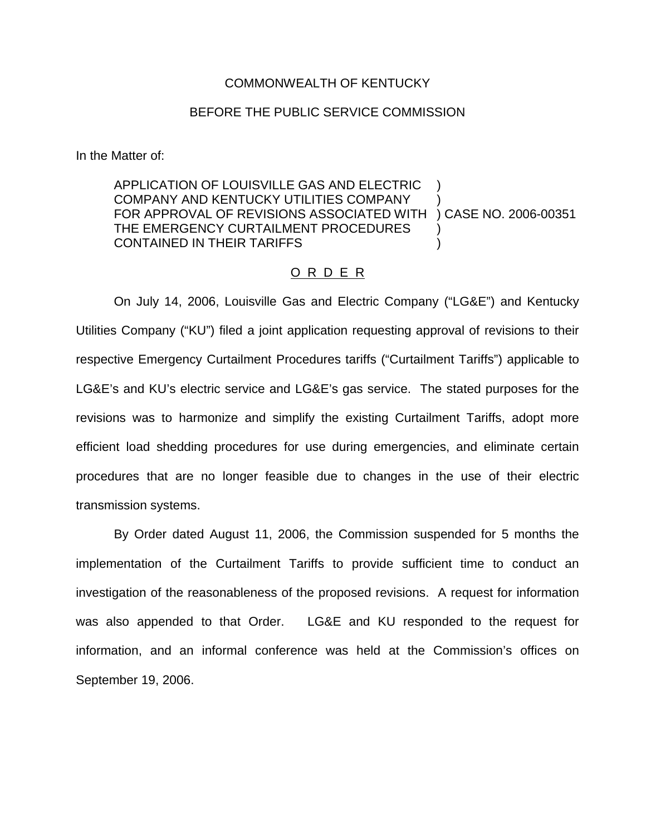## COMMONWEALTH OF KENTUCKY

## BEFORE THE PUBLIC SERVICE COMMISSION

In the Matter of:

## APPLICATION OF LOUISVILLE GAS AND ELECTRIC ) COMPANY AND KENTUCKY UTILITIES COMPANY ) FOR APPROVAL OF REVISIONS ASSOCIATED WITH ) CASE NO. 2006-00351 THE EMERGENCY CURTAILMENT PROCEDURES CONTAINED IN THEIR TARIFFS )

## O R D E R

On July 14, 2006, Louisville Gas and Electric Company ("LG&E") and Kentucky Utilities Company ("KU") filed a joint application requesting approval of revisions to their respective Emergency Curtailment Procedures tariffs ("Curtailment Tariffs") applicable to LG&E's and KU's electric service and LG&E's gas service. The stated purposes for the revisions was to harmonize and simplify the existing Curtailment Tariffs, adopt more efficient load shedding procedures for use during emergencies, and eliminate certain procedures that are no longer feasible due to changes in the use of their electric transmission systems.

By Order dated August 11, 2006, the Commission suspended for 5 months the implementation of the Curtailment Tariffs to provide sufficient time to conduct an investigation of the reasonableness of the proposed revisions. A request for information was also appended to that Order. LG&E and KU responded to the request for information, and an informal conference was held at the Commission's offices on September 19, 2006.